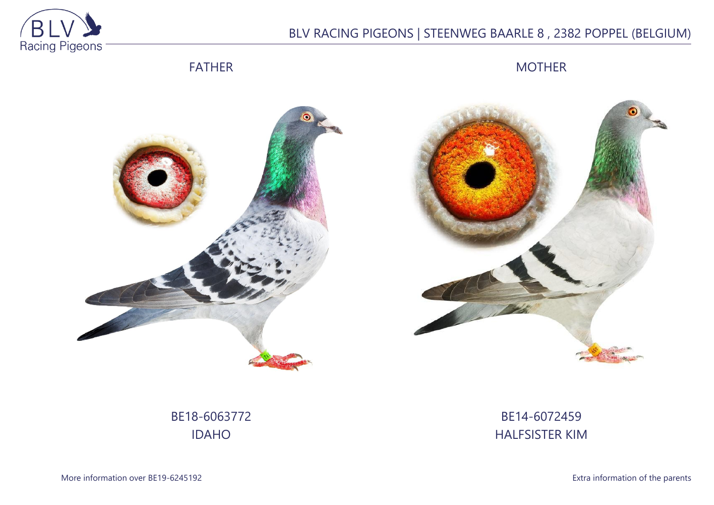

## BLV RACING PIGEONS | STEENWEG BAARLE 8 , 2382 POPPEL (BELGIUM)

## FATHER

MOTHER





# BE18-6063772 IDAHO

BE14-6072459 HALFSISTER KIM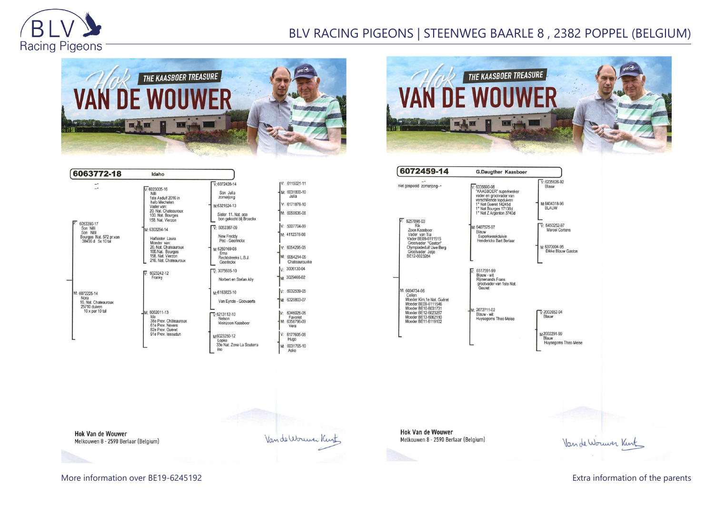

## BLV RACING PIGEONS | STEENWEG BAARLE 8 , 2382 POPPEL (BELGIUM)



| 6063772-18                                                                                                                                   | Idaho                                                                                                                                                                                                                                                                                            |                                                                |                                                        |
|----------------------------------------------------------------------------------------------------------------------------------------------|--------------------------------------------------------------------------------------------------------------------------------------------------------------------------------------------------------------------------------------------------------------------------------------------------|----------------------------------------------------------------|--------------------------------------------------------|
| $\overline{\phantom{a}}$<br>$\overline{\phantom{a}}$<br>6053390-17<br>Son Nilli<br>Son Nilli<br>Bourges Nat. 572 pr.van<br>38456 d 5x 10 tal | $V: 6023005 - 16$<br>Nilli<br>1ste Asduif 2016 in<br>hafo Mechelen<br>Vader van:<br>20. Nat. Chateauroux<br>100. Nat. Bourges<br>158. Nat. Vierzon<br>M: 6303294-14<br>Halfsister Laura<br>Moeder van:<br>20. Nat. Chateauroux<br>100.Nat. Bourges<br>158. Nat. Vierzon<br>216. Nat. Chateauroux | $V: 6072428 - 14$<br>Son Julia<br>zomeriong                    | V: 6115021-11<br>M: 6031800-10<br>Julia                |
|                                                                                                                                              |                                                                                                                                                                                                                                                                                                  | M:6321624-13<br>Sister 11, Nat. ace<br>bon gekocht bij Broeckx | V: 6171878-10<br>M: 6050636-08                         |
|                                                                                                                                              |                                                                                                                                                                                                                                                                                                  | $V: 5052387-09$<br>New Freddy<br>Pec - Geerinckx               | V: 5007704-99<br>M: 4112378-06                         |
|                                                                                                                                              |                                                                                                                                                                                                                                                                                                  | M:6259169-08<br>Ema<br>Rechtstreeks L.B.J.<br>Geerinckx        | $V: 6054295-05$<br>M: 6054214-05<br>Chateaurouxke      |
| M: 6072225-14<br>Nora<br>16. Nat. Chateauroux<br>25710 duiven<br>$10 \times per 10$ tal                                                      | $\overline{V}$ 6023242-12<br>Franky                                                                                                                                                                                                                                                              | $\nabla 3075605-10$<br>Norbert en Stefan Ally                  | V: 3006130-04<br>M: 3029466-02                         |
|                                                                                                                                              |                                                                                                                                                                                                                                                                                                  | M:6163823-10<br>Van Eynde - Goovaerts                          | V: 6032539-05<br>M: 6320803-07                         |
|                                                                                                                                              | M: 6062011-13<br>Ida<br>38e Prov. Châteauroux<br>61e Prov. Nevers<br>82e Prov. Guéret<br>91e Prov. Issoudun                                                                                                                                                                                      | $\sqrt{6213112} - 10$<br>Nelson<br>kleinzoon Kaasboer          | 6346026-06<br>IV:<br>Favoriet<br>M: 6358796-09<br>Vera |
|                                                                                                                                              |                                                                                                                                                                                                                                                                                                  | M6023250-12<br>Looke<br>33e Nat. Zone La Souterra<br>ine       | V: 6177605-08<br>Hugo<br>M: 6031765-10<br>Aske         |





**Hok Van de Wouwer** Melkouwen 8 - 2590 Berlaar (Belgium)

Van de Worwer Kink

**Hok Van de Wouwer** Melkouwen 8 - 2590 Berlaar (Belgium)

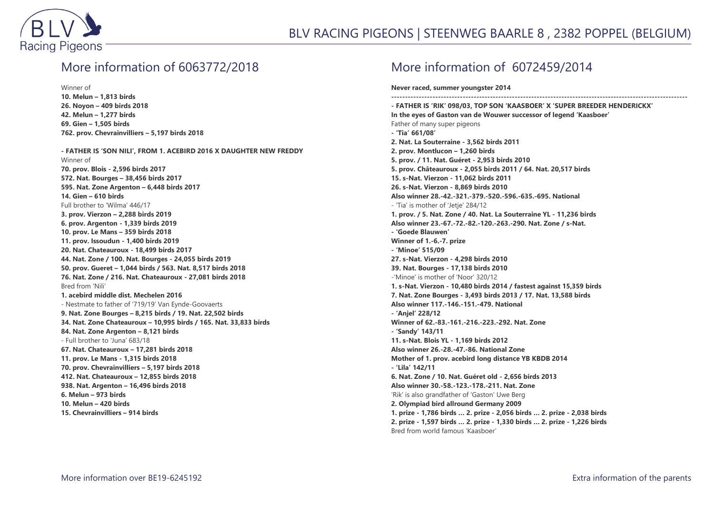

#### More information of 6063772/2018

Winner of **10. Melun – 1,813 birds 26. Noyon – 409 birds 2018 42. Melun – 1,277 birds 69. Gien – 1,505 birds 762. prov. Chevrainvilliers – 5,197 birds 2018**

**- FATHER IS 'SON NILI', FROM 1. ACEBIRD 2016 X DAUGHTER NEW FREDDY** Winner of **70. prov. Blois - 2,596 birds 2017 572. Nat. Bourges – 38,456 birds 2017 595. Nat. Zone Argenton – 6,448 birds 2017 14. Gien – 610 birds** Full brother to 'Wilma' 446/17 **3. prov. Vierzon – 2,288 birds 2019 6. prov. Argenton - 1,339 birds 2019 10. prov. Le Mans – 359 birds 2018 11. prov. Issoudun - 1,400 birds 2019 20. Nat. Chateauroux - 18,499 birds 2017 44. Nat. Zone / 100. Nat. Bourges - 24,055 birds 2019 50. prov. Gueret – 1,044 birds / 563. Nat. 8,517 birds 2018 76. Nat. Zone / 216. Nat. Chateauroux - 27,081 birds 2018** Bred from 'Nili' **1. acebird middle dist. Mechelen 2016** - Nestmate to father of '719/19' Van Eynde-Goovaerts **9. Nat. Zone Bourges – 8,215 birds / 19. Nat. 22,502 birds 34. Nat. Zone Chateauroux – 10,995 birds / 165. Nat. 33,833 birds 84. Nat. Zone Argenton – 8,121 birds** - Full brother to 'Juna' 683/18 **67. Nat. Chateauroux – 17,281 birds 2018 11. prov. Le Mans - 1,315 birds 2018 70. prov. Chevrainvilliers – 5,197 birds 2018 412. Nat. Chateauroux – 12,855 birds 2018 938. Nat. Argenton – 16,496 birds 2018 6. Melun – 973 birds 10. Melun – 420 birds 15. Chevrainvilliers – 914 birds**

#### More information of 6072459/2014

**Never raced, summer youngster 2014**

**------------------------------------------------------------------------------------------------------------ - FATHER IS 'RIK' 098/03, TOP SON 'KAASBOER' X 'SUPER BREEDER HENDERICKX' In the eyes of Gaston van de Wouwer successor of legend 'Kaasboer'** Father of many super pigeons **- 'Tia' 661/08' 2. Nat. La Souterraine - 3,562 birds 2011 2. prov. Montlucon – 1,260 birds 5. prov. / 11. Nat. Guéret - 2,953 birds 2010 5. prov. Châteauroux - 2,055 birds 2011 / 64. Nat. 20,517 birds 15. s-Nat. Vierzon - 11,062 birds 2011 26. s-Nat. Vierzon - 8,869 birds 2010 Also winner 28.-42.-321.-379.-520.-596.-635.-695. National** - 'Tia' is mother of 'Jetje' 284/12 **1. prov. / 5. Nat. Zone / 40. Nat. La Souterraine YL - 11,236 birds Also winner 23.-67.-72.-82.-120.-263.-290. Nat. Zone / s-Nat. - 'Goede Blauwen' Winner of 1.-6.-7. prize - 'Minoe' 515/09 27. s-Nat. Vierzon - 4,298 birds 2010 39. Nat. Bourges - 17,138 birds 2010** -'Minoe' is mother of 'Noor' 320/12 **1. s-Nat. Vierzon - 10,480 birds 2014 / fastest against 15,359 birds 7. Nat. Zone Bourges - 3,493 birds 2013 / 17. Nat. 13,588 birds Also winner 117.-146.-151.-479. National - 'Anjel' 228/12 Winner of 62.-83.-161.-216.-223.-292. Nat. Zone - 'Sandy' 143/11 11. s-Nat. Blois YL - 1,169 birds 2012 Also winner 26.-28.-47.-86. National Zone Mother of 1. prov. acebird long distance YB KBDB 2014 - 'Lila' 142/11 6. Nat. Zone / 10. Nat. Guéret old - 2,656 birds 2013 Also winner 30.-58.-123.-178.-211. Nat. Zone** 'Rik' is also grandfather of 'Gaston' Uwe Berg **2. Olympiad bird allround Germany 2009 1. prize - 1,786 birds … 2. prize - 2,056 birds … 2. prize - 2,038 birds 2. prize - 1,597 birds … 2. prize - 1,330 birds … 2. prize - 1,226 birds** Bred from world famous 'Kaasboer'